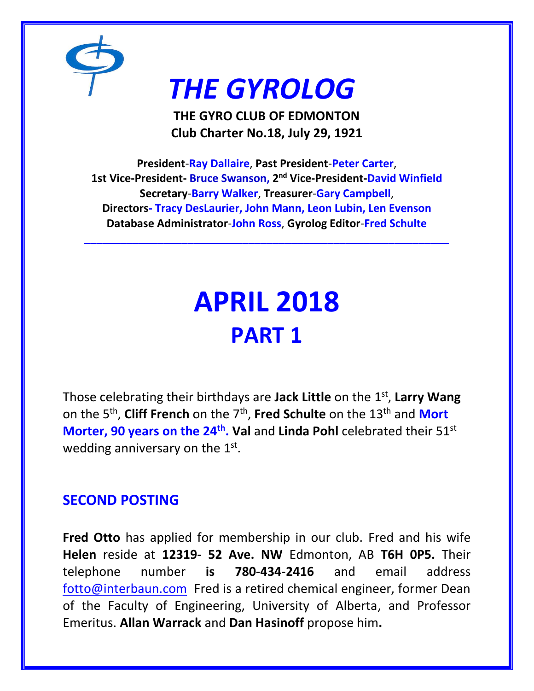

# *THE GYROLOG*

**THE GYRO CLUB OF EDMONTON Club Charter No.18, July 29, 1921**

**President**-**Ray Dallaire**, **Past President**-**Peter Carter**, **1st Vice-President- Bruce Swanson, 2 nd Vice-President-David Winfield Secretary**-**Barry Walker**, **Treasurer**-**Gary Campbell**, **Directors- Tracy DesLaurier, John Mann, Leon Lubin, Len Evenson Database Administrator**-**John Ross**, **Gyrolog Editor**-**Fred Schulte**

**\_\_\_\_\_\_\_\_\_\_\_\_\_\_\_\_\_\_\_\_\_\_\_\_\_\_\_\_\_\_\_\_\_\_\_\_\_\_\_\_\_\_\_\_\_\_\_\_\_\_\_\_\_\_\_\_\_\_\_\_**

# **APRIL 2018 PART 1**

Those celebrating their birthdays are **Jack Little** on the 1st , **Larry Wang**  on the 5th , **Cliff French** on the 7th , **Fred Schulte** on the 13th and **Mort Morter, 90 years on the 24<sup>th</sup>. Val** and Linda Pohl celebrated their 51<sup>st</sup> wedding anniversary on the 1st.

# **SECOND POSTING**

**Fred Otto** has applied for membership in our club. Fred and his wife **Helen** reside at **12319- 52 Ave. NW** Edmonton, AB **T6H 0P5.** Their telephone number **is 780-434-2416** and email address [fotto@interbaun.com](mailto:fotto@interbaun.com) Fred is a retired chemical engineer, former Dean of the Faculty of Engineering, University of Alberta, and Professor Emeritus. **Allan Warrack** and **Dan Hasinoff** propose him**.**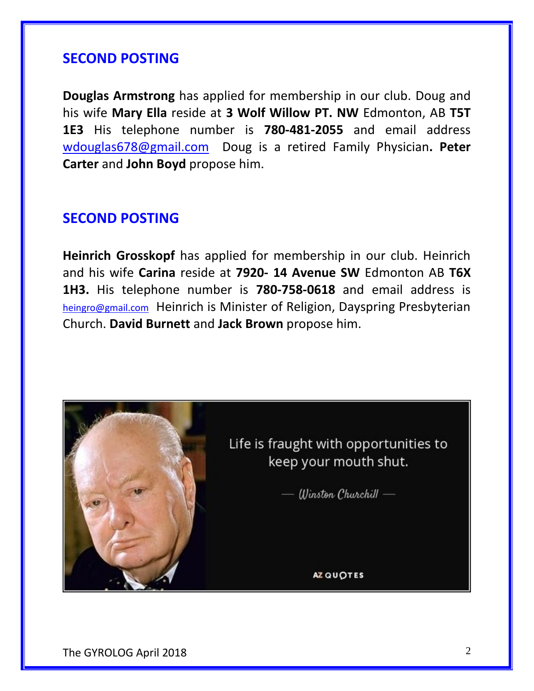## **SECOND POSTING**

**Douglas Armstrong** has applied for membership in our club. Doug and his wife **Mary Ella** reside at **3 Wolf Willow PT. NW** Edmonton, AB **T5T 1E3** His telephone number is **780-481-2055** and email address [wdouglas678@gmail.com](mailto:wdouglas678@gmail.com) Doug is a retired Family Physician**. Peter Carter** and **John Boyd** propose him.

## **SECOND POSTING**

**Heinrich Grosskopf** has applied for membership in our club. Heinrich and his wife **Carina** reside at **7920- 14 Avenue SW** Edmonton AB **T6X 1H3.** His telephone number is **780-758-0618** and email address is [heingro@gmail.com](mailto:heingro@gmail.com) Heinrich is Minister of Religion, Dayspring Presbyterian Church. **David Burnett** and **Jack Brown** propose him.

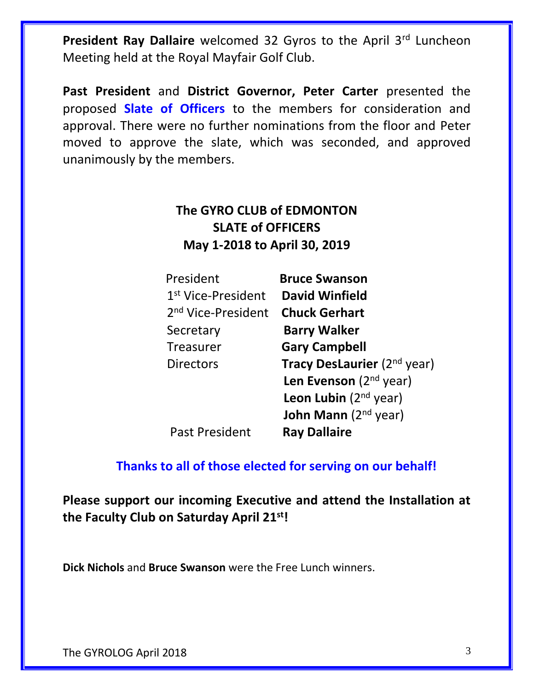President Ray Dallaire welcomed 32 Gyros to the April 3<sup>rd</sup> Luncheon Meeting held at the Royal Mayfair Golf Club.

**Past President** and **District Governor, Peter Carter** presented the proposed **Slate of Officers** to the members for consideration and approval. There were no further nominations from the floor and Peter moved to approve the slate, which was seconded, and approved unanimously by the members.

## **The GYRO CLUB of EDMONTON SLATE of OFFICERS May 1-2018 to April 30, 2019**

| President                      | <b>Bruce Swanson</b>                    |
|--------------------------------|-----------------------------------------|
| 1 <sup>st</sup> Vice-President | <b>David Winfield</b>                   |
| 2 <sup>nd</sup> Vice-President | <b>Chuck Gerhart</b>                    |
| Secretary                      | <b>Barry Walker</b>                     |
| <b>Treasurer</b>               | <b>Gary Campbell</b>                    |
| <b>Directors</b>               | Tracy DesLaurier (2 <sup>nd</sup> year) |
|                                | Len Evenson $(2nd$ year)                |
|                                | <b>Leon Lubin</b> ( $2^{nd}$ year)      |
|                                | <b>John Mann</b> ( $2nd$ year)          |
| <b>Past President</b>          | <b>Ray Dallaire</b>                     |

## **Thanks to all of those elected for serving on our behalf!**

**Please support our incoming Executive and attend the Installation at the Faculty Club on Saturday April 21st!**

**Dick Nichols** and **Bruce Swanson** were the Free Lunch winners.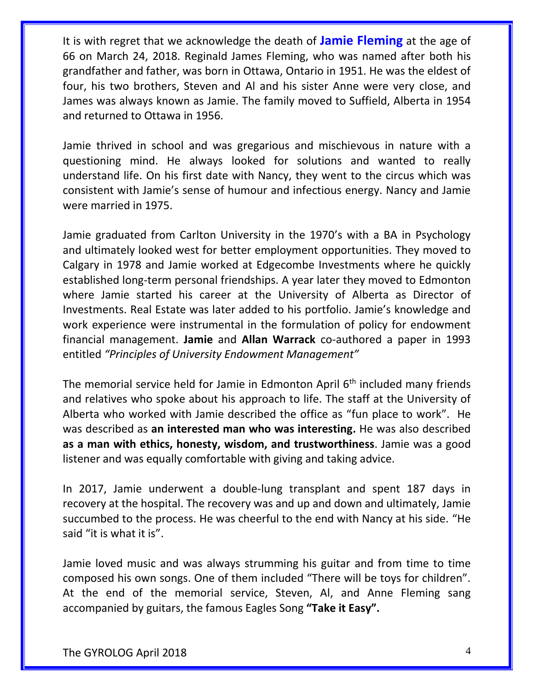It is with regret that we acknowledge the death of **Jamie Fleming** at the age of 66 on March 24, 2018. Reginald James Fleming, who was named after both his grandfather and father, was born in Ottawa, Ontario in 1951. He was the eldest of four, his two brothers, Steven and Al and his sister Anne were very close, and James was always known as Jamie. The family moved to Suffield, Alberta in 1954 and returned to Ottawa in 1956.

Jamie thrived in school and was gregarious and mischievous in nature with a questioning mind. He always looked for solutions and wanted to really understand life. On his first date with Nancy, they went to the circus which was consistent with Jamie's sense of humour and infectious energy. Nancy and Jamie were married in 1975.

Jamie graduated from Carlton University in the 1970's with a BA in Psychology and ultimately looked west for better employment opportunities. They moved to Calgary in 1978 and Jamie worked at Edgecombe Investments where he quickly established long-term personal friendships. A year later they moved to Edmonton where Jamie started his career at the University of Alberta as Director of Investments. Real Estate was later added to his portfolio. Jamie's knowledge and work experience were instrumental in the formulation of policy for endowment financial management. **Jamie** and **Allan Warrack** co-authored a paper in 1993 entitled *"Principles of University Endowment Management"*

The memorial service held for Jamie in Edmonton April 6<sup>th</sup> included many friends and relatives who spoke about his approach to life. The staff at the University of Alberta who worked with Jamie described the office as "fun place to work". He was described as **an interested man who was interesting.** He was also described **as a man with ethics, honesty, wisdom, and trustworthiness**. Jamie was a good listener and was equally comfortable with giving and taking advice.

In 2017, Jamie underwent a double-lung transplant and spent 187 days in recovery at the hospital. The recovery was and up and down and ultimately, Jamie succumbed to the process. He was cheerful to the end with Nancy at his side. "He said "it is what it is".

Jamie loved music and was always strumming his guitar and from time to time composed his own songs. One of them included "There will be toys for children". At the end of the memorial service, Steven, Al, and Anne Fleming sang accompanied by guitars, the famous Eagles Song **"Take it Easy".**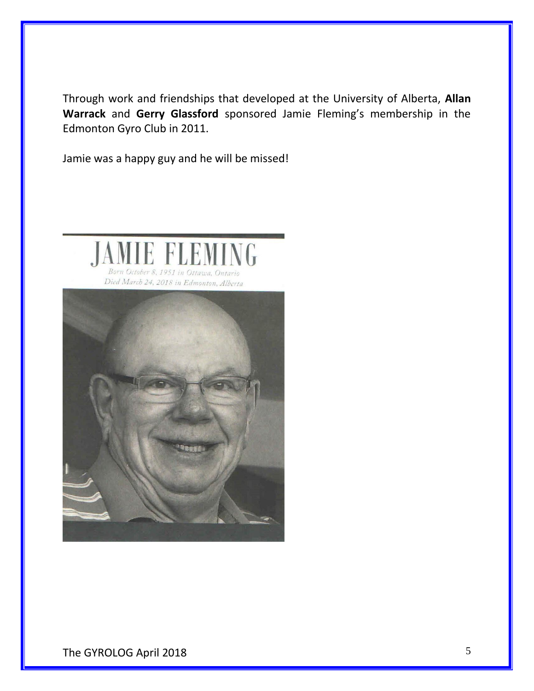Through work and friendships that developed at the University of Alberta, **Allan Warrack** and **Gerry Glassford** sponsored Jamie Fleming's membership in the Edmonton Gyro Club in 2011.

Jamie was a happy guy and he will be missed!

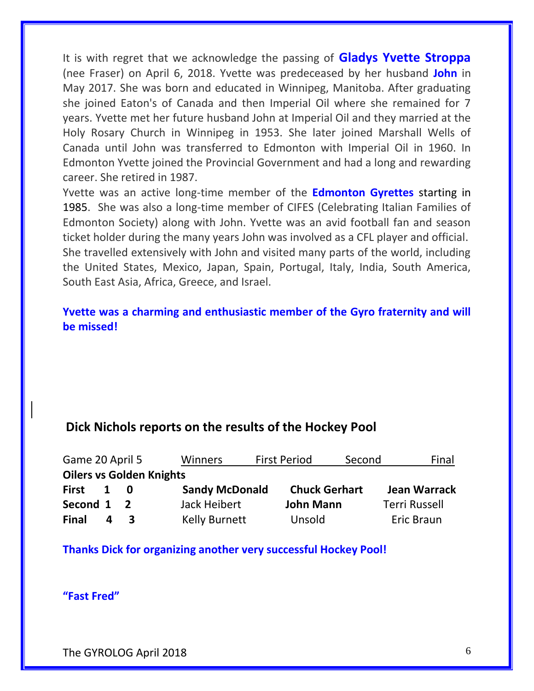It is with regret that we acknowledge the passing of **Gladys Yvette Stroppa** (nee Fraser) on April 6, 2018. Yvette was predeceased by her husband **John** in May 2017. She was born and educated in Winnipeg, Manitoba. After graduating she joined Eaton's of Canada and then Imperial Oil where she remained for 7 years. Yvette met her future husband John at Imperial Oil and they married at the Holy Rosary Church in Winnipeg in 1953. She later joined Marshall Wells of Canada until John was transferred to Edmonton with Imperial Oil in 1960. In Edmonton Yvette joined the Provincial Government and had a long and rewarding career. She retired in 1987.

Yvette was an active long-time member of the **Edmonton Gyrettes** starting in 1985. She was also a long-time member of CIFES (Celebrating Italian Families of Edmonton Society) along with John. Yvette was an avid football fan and season ticket holder during the many years John was involved as a CFL player and official. She travelled extensively with John and visited many parts of the world, including the United States, Mexico, Japan, Spain, Portugal, Italy, India, South America, South East Asia, Africa, Greece, and Israel.

#### **Yvette was a charming and enthusiastic member of the Gyro fraternity and will be missed!**

### **Dick Nichols reports on the results of the Hockey Pool**

| Game 20 April 5 |   |                                 | Winners               | <b>First Period</b>  | Second | Final                |
|-----------------|---|---------------------------------|-----------------------|----------------------|--------|----------------------|
|                 |   | <b>Oilers vs Golden Knights</b> |                       |                      |        |                      |
| <b>First</b>    | 1 | 0                               | <b>Sandy McDonald</b> | <b>Chuck Gerhart</b> |        | <b>Jean Warrack</b>  |
| Second 1        |   | $\overline{2}$                  | Jack Heibert          | <b>John Mann</b>     |        | <b>Terri Russell</b> |
| <b>Final</b>    | Δ | $\mathbf{z}$                    | <b>Kelly Burnett</b>  | Unsold               |        | Eric Braun           |

#### **Thanks Dick for organizing another very successful Hockey Pool!**

**"Fast Fred"**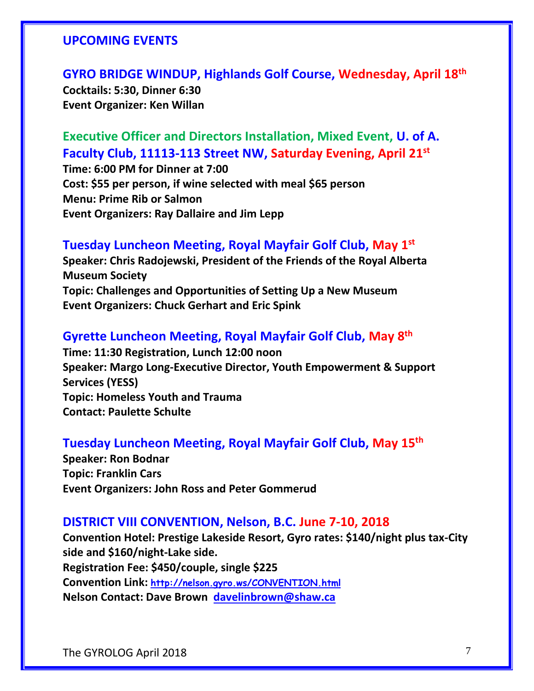#### **UPCOMING EVENTS**

**GYRO BRIDGE WINDUP, Highlands Golf Course, Wednesday, April 18th Cocktails: 5:30, Dinner 6:30 Event Organizer: Ken Willan**

**Executive Officer and Directors Installation, Mixed Event, U. of A. Faculty Club, 11113-113 Street NW, Saturday Evening, April 21st**

**Time: 6:00 PM for Dinner at 7:00 Cost: \$55 per person, if wine selected with meal \$65 person Menu: Prime Rib or Salmon Event Organizers: Ray Dallaire and Jim Lepp**

#### **Tuesday Luncheon Meeting, Royal Mayfair Golf Club, May 1st**

**Speaker: Chris Radojewski, President of the Friends of the Royal Alberta Museum Society Topic: Challenges and Opportunities of Setting Up a New Museum Event Organizers: Chuck Gerhart and Eric Spink**

#### **Gyrette Luncheon Meeting, Royal Mayfair Golf Club, May 8th**

**Time: 11:30 Registration, Lunch 12:00 noon Speaker: Margo Long-Executive Director, Youth Empowerment & Support Services (YESS) Topic: Homeless Youth and Trauma Contact: Paulette Schulte**

### **Tuesday Luncheon Meeting, Royal Mayfair Golf Club, May 15th**

**Speaker: Ron Bodnar Topic: Franklin Cars Event Organizers: John Ross and Peter Gommerud**

#### **DISTRICT VIII CONVENTION, Nelson, B.C. June 7-10, 2018**

**Convention Hotel: Prestige Lakeside Resort, Gyro rates: \$140/night plus tax-City side and \$160/night-Lake side. Registration Fee: \$450/couple, single \$225 Convention Link: <http://nelson.gyro.ws/CONVENTION.html> Nelson Contact: Dave Brown [davelinbrown@shaw.ca](mailto:davelinbrown@shaw.ca)**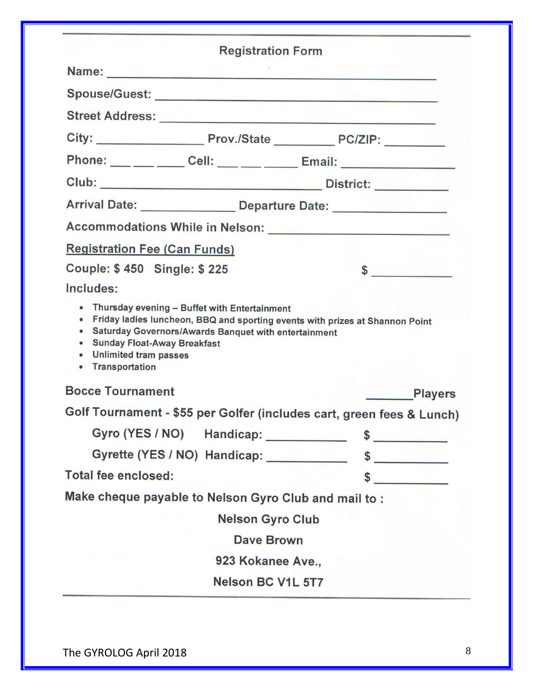|                                                                                                                                            | <b>Registration Form</b>                                                                                                                                                                                                       |                                              |                |
|--------------------------------------------------------------------------------------------------------------------------------------------|--------------------------------------------------------------------------------------------------------------------------------------------------------------------------------------------------------------------------------|----------------------------------------------|----------------|
|                                                                                                                                            |                                                                                                                                                                                                                                |                                              |                |
|                                                                                                                                            |                                                                                                                                                                                                                                |                                              |                |
|                                                                                                                                            | Street Address: Van Andreas Address and Address and Address and Address and Address and Address and Address and Address and Address and Address and Address and Address and Address and Address and Address and Address and Ad |                                              |                |
|                                                                                                                                            |                                                                                                                                                                                                                                |                                              |                |
|                                                                                                                                            |                                                                                                                                                                                                                                |                                              |                |
|                                                                                                                                            |                                                                                                                                                                                                                                |                                              |                |
|                                                                                                                                            | Arrival Date: _______________________ Departure Date: __________________________                                                                                                                                               |                                              |                |
|                                                                                                                                            |                                                                                                                                                                                                                                |                                              |                |
| <b>Registration Fee (Can Funds)</b>                                                                                                        |                                                                                                                                                                                                                                |                                              |                |
| Couple: \$450 Single: \$225                                                                                                                |                                                                                                                                                                                                                                |                                              | $\sim$         |
| Includes:                                                                                                                                  |                                                                                                                                                                                                                                |                                              |                |
|                                                                                                                                            | • Thursday evening - Buffet with Entertainment                                                                                                                                                                                 |                                              |                |
| $\bullet$<br>$\bullet$<br><b>Sunday Float-Away Breakfast</b><br>$\bullet$<br><b>Unlimited tram passes</b><br>$\bullet$<br>• Transportation | Friday ladies luncheon, BBQ and sporting events with prizes at Shannon Point<br>Saturday Governors/Awards Banquet with entertainment                                                                                           |                                              |                |
| <b>Bocce Tournament</b>                                                                                                                    |                                                                                                                                                                                                                                | $\mathcal{P} = \mathcal{P} \cup \mathcal{P}$ |                |
|                                                                                                                                            | Golf Tournament - \$55 per Golfer (includes cart, green fees & Lunch)                                                                                                                                                          |                                              |                |
|                                                                                                                                            | Gyro (YES / NO) Handicap: _____________                                                                                                                                                                                        |                                              | $\sim$         |
|                                                                                                                                            | Gyrette (YES / NO) Handicap: ___________                                                                                                                                                                                       |                                              | $\sim$         |
| <b>Total fee enclosed:</b>                                                                                                                 |                                                                                                                                                                                                                                |                                              | $\sim$         |
|                                                                                                                                            | Make cheque payable to Nelson Gyro Club and mail to :                                                                                                                                                                          |                                              |                |
|                                                                                                                                            | <b>Nelson Gyro Club</b>                                                                                                                                                                                                        |                                              |                |
|                                                                                                                                            | <b>Dave Brown</b>                                                                                                                                                                                                              |                                              |                |
|                                                                                                                                            | 923 Kokanee Ave.,                                                                                                                                                                                                              |                                              | <b>Players</b> |